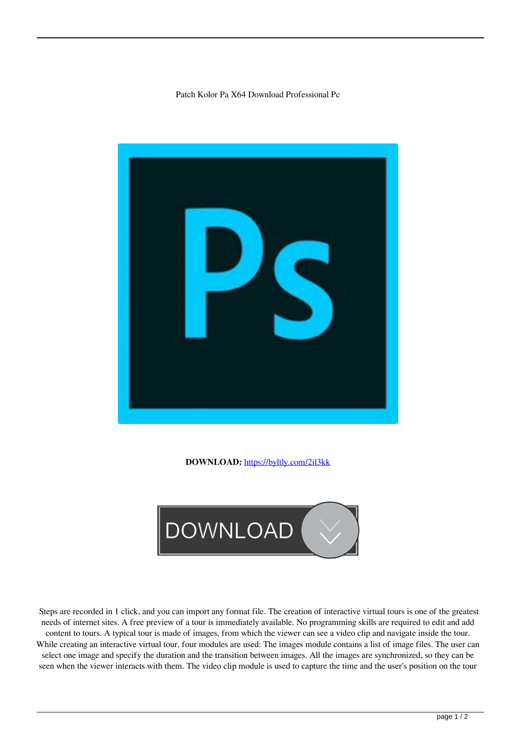## Patch Kolor Pa X64 Download Professional Pc



**DOWNLOAD:** <https://byltly.com/2il3kk>



 Steps are recorded in 1 click, and you can import any format file. The creation of interactive virtual tours is one of the greatest needs of internet sites. A free preview of a tour is immediately available. No programming skills are required to edit and add content to tours. A typical tour is made of images, from which the viewer can see a video clip and navigate inside the tour. While creating an interactive virtual tour, four modules are used: The images module contains a list of image files. The user can select one image and specify the duration and the transition between images. All the images are synchronized, so they can be seen when the viewer interacts with them. The video clip module is used to capture the time and the user's position on the tour